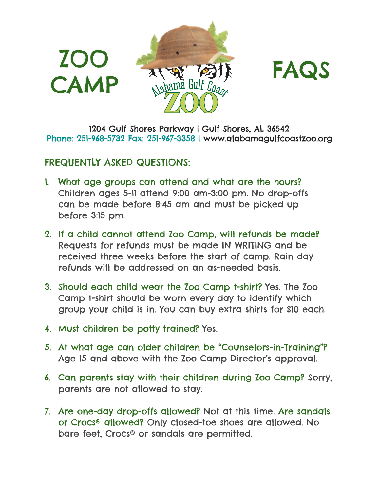



1204 Gulf Shores Parkway | Gulf Shores, AL 36542 Phone: 251-968-5732 Fax: 251-967-3358 | www.alabamagulfcoastzoo.org

## FREQUENTLY ASKED QUESTIONS:

- 1. What age groups can attend and what are the hours? Children ages 5-11 attend 9:00 am-3:00 pm. No drop-offs can be made before 8:45 am and must be picked up before 3:15 pm.
- 2. If a child cannot attend Zoo Camp, will refunds be made? Requests for refunds must be made IN WRITING and be received three weeks before the start of camp. Rain day refunds will be addressed on an as-needed basis.
- 3. Should each child wear the Zoo Camp t-shirt? Yes. The Zoo Camp t-shirt should be worn every day to identify which group your child is in. You can buy extra shirts for \$10 each.
- 4. Must children be potty trained? Yes.
- 5. At what age can older children be "Counselors-in-Training"? Age 15 and above with the Zoo Camp Director's approval.
- 6. Can parents stay with their children during Zoo Camp? Sorry, parents are not allowed to stay.
- 7. Are one-day drop-offs allowed? Not at this time. Are sandals or Crocs® allowed? Only closed-toe shoes are allowed. No bare feet, Crocs® or sandals are permitted.